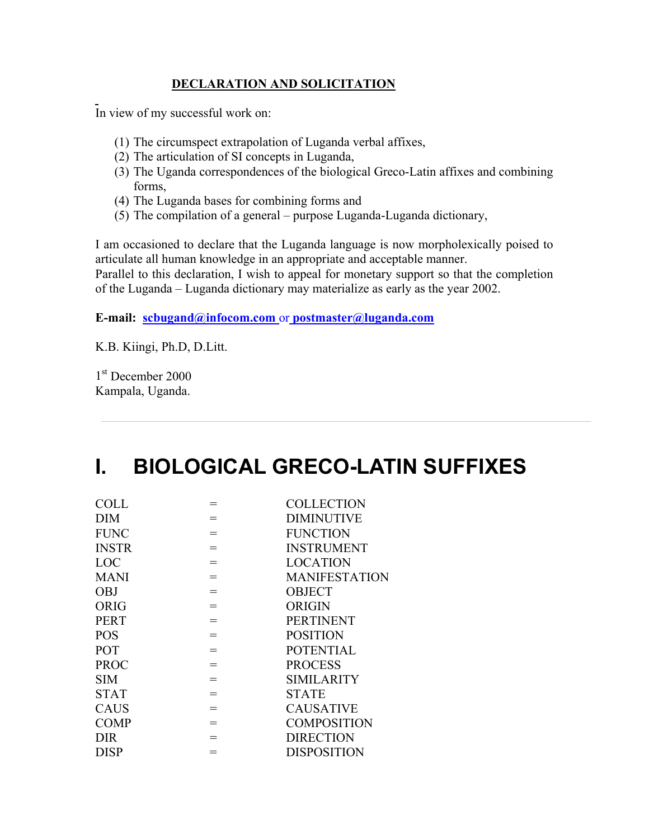## **DECLARATION AND SOLICITATION**

In view of my successful work on:

- (1) The circumspect extrapolation of Luganda verbal affixes,
- (2) The articulation of SI concepts in Luganda,
- (3) The Uganda correspondences of the biological Greco-Latin affixes and combining forms,
- (4) The Luganda bases for combining forms and
- (5) The compilation of a general purpose Luganda-Luganda dictionary,

I am occasioned to declare that the Luganda language is now morpholexically poised to articulate all human knowledge in an appropriate and acceptable manner.

Parallel to this declaration, I wish to appeal for monetary support so that the completion of the Luganda – Luganda dictionary may materialize as early as the year 2002.

## **E-mail: scbugand@infocom.com** or **postmaster@luganda.com**

K.B. Kiingi, Ph.D, D.Litt.

1<sup>st</sup> December 2000 Kampala, Uganda.

## **I. BIOLOGICAL GRECO-LATIN SUFFIXES**

| <b>COLL</b>  |     | <b>COLLECTION</b>    |
|--------------|-----|----------------------|
| DIM          | $=$ | <b>DIMINUTIVE</b>    |
| <b>FUNC</b>  | $=$ | <b>FUNCTION</b>      |
| <b>INSTR</b> | $=$ | <b>INSTRUMENT</b>    |
| LOC          | $=$ | <b>LOCATION</b>      |
| <b>MANI</b>  | $=$ | <b>MANIFESTATION</b> |
| <b>OBJ</b>   | $=$ | <b>OBJECT</b>        |
| <b>ORIG</b>  | $=$ | <b>ORIGIN</b>        |
| <b>PERT</b>  | $=$ | <b>PERTINENT</b>     |
| <b>POS</b>   | $=$ | <b>POSITION</b>      |
| POT          | $=$ | <b>POTENTIAL</b>     |
| <b>PROC</b>  | $=$ | <b>PROCESS</b>       |
| <b>SIM</b>   | $=$ | <b>SIMILARITY</b>    |
| <b>STAT</b>  | $=$ | <b>STATE</b>         |
| <b>CAUS</b>  | $=$ | <b>CAUSATIVE</b>     |
| <b>COMP</b>  | $=$ | <b>COMPOSITION</b>   |
| <b>DIR</b>   | $=$ | <b>DIRECTION</b>     |
| <b>DISP</b>  |     | <b>DISPOSITION</b>   |